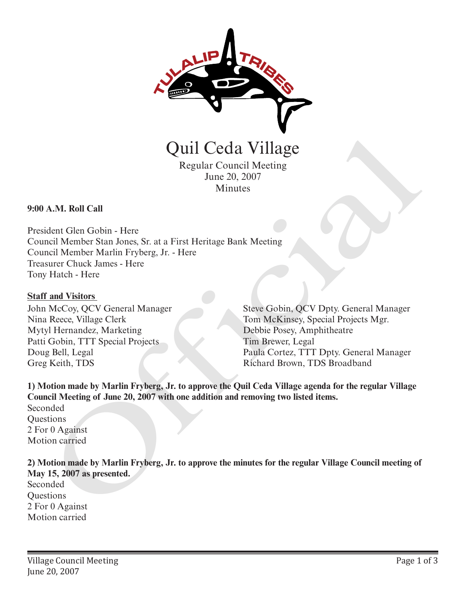

Quil Ceda Village

Regular Council Meeting June 20, 2007 Minutes

**9:00 A.M. Roll Call**

President Glen Gobin - Here Council Member Stan Jones, Sr. at a First Heritage Bank Meeting Council Member Marlin Fryberg, Jr. - Here Treasurer Chuck James - Here Tony Hatch - Here **CHATA CONTROVIDE CONTROVIDED**<br>
Regular Council Meeting<br>
June 20, 2007<br>
Minutes<br>
A.M. Roll Call<br>
dent Glenn Gobin - Here<br>
incil Member Shan Jones, Sr. at a First Heritage Bank Meeting<br>
met Visiters are Character Marin Fryb

## **Staff and Visitors**

John McCoy, QCV General Manager Nina Reece, Village Clerk Mytyl Hernandez, Marketing Patti Gobin, TTT Special Projects Doug Bell, Legal Greg Keith, TDS

Steve Gobin, QCV Dpty. General Manager Tom McKinsey, Special Projects Mgr. Debbie Posey, Amphitheatre Tim Brewer, Legal Paula Cortez, TTT Dpty. General Manager Richard Brown, TDS Broadband

**1) Motion made by Marlin Fryberg, Jr. to approve the Quil Ceda Village agenda for the regular Village Council Meeting of June 20, 2007 with one addition and removing two listed items.**

Seconded **Ouestions** 2 For 0 Against Motion carried

**2) Motion made by Marlin Fryberg, Jr. to approve the minutes for the regular Village Council meeting of May 15, 2007 as presented.**

Seconded **Questions** 2 For 0 Against Motion carried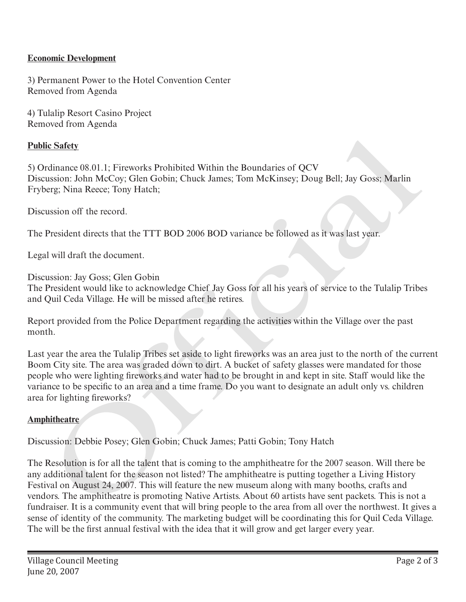## **Economic Development**

3) Permanent Power to the Hotel Convention Center Removed from Agenda

4) Tulalip Resort Casino Project Removed from Agenda

## **Public Safety**

5) Ordinance 08.01.1; Fireworks Prohibited Within the Boundaries of QCV Discussion: John McCoy; Glen Gobin; Chuck James; Tom McKinsey; Doug Bell; Jay Goss; Marlin Fryberg; Nina Reece; Tony Hatch;

Discussion off the record.

The President directs that the TTT BOD 2006 BOD variance be followed as it was last year.

Legal will draft the document.

Discussion: Jay Goss; Glen Gobin

The President would like to acknowledge Chief Jay Goss for all his years of service to the Tulalip Tribes and Quil Ceda Village. He will be missed after he retires.

Report provided from the Police Department regarding the activities within the Village over the past month.

Last year the area the Tulalip Tribes set aside to light fireworks was an area just to the north of the current Boom City site. The area was graded down to dirt. A bucket of safety glasses were mandated for those people who were lighting fireworks and water had to be brought in and kept in site. Staff would like the variance to be specific to an area and a time frame. Do you want to designate an adult only vs. children area for lighting fireworks?

## **Amphitheatre**

Discussion: Debbie Posey; Glen Gobin; Chuck James; Patti Gobin; Tony Hatch

The Resolution is for all the talent that is coming to the amphitheatre for the 2007 season. Will there be any additional talent for the season not listed? The amphitheatre is putting together a Living History Festival on August 24, 2007. This will feature the new museum along with many booths, crafts and vendors. The amphitheatre is promoting Native Artists. About 60 artists have sent packets. This is not a fundraiser. It is a community event that will bring people to the area from all over the northwest. It gives a sense of identity of the community. The marketing budget will be coordinating this for Quil Ceda Village. The will be the first annual festival with the idea that it will grow and get larger every year. ic Safety<br>
relinance 08.01.1; Fireworks Prohibited Within the Boundaries of QCV<br>
relinance 08.01.1; Fireworks Prohibited Within the Boundaries of QCV<br>
surgency .1dn McCoy; Glen Gobin; Chuck James; Tom McKinsey; Doug Bell;